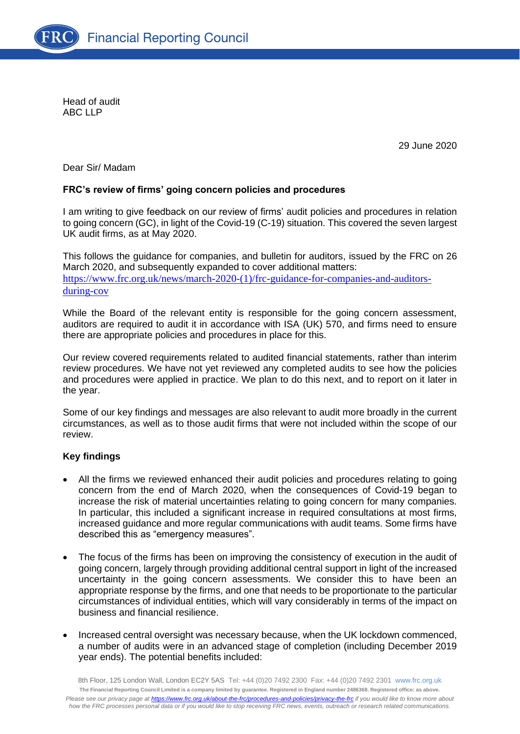

Head of audit ABC LLP

29 June 2020

Dear Sir/ Madam

## **FRC's review of firms' going concern policies and procedures**

I am writing to give feedback on our review of firms' audit policies and procedures in relation to going concern (GC), in light of the Covid-19 (C-19) situation. This covered the seven largest UK audit firms, as at May 2020.

This follows the guidance for companies, and bulletin for auditors, issued by the FRC on 26 March 2020, and subsequently expanded to cover additional matters: [https://www.frc.org.uk/news/march-2020-\(1\)/frc-guidance-for-companies-and-auditors](https://www.frc.org.uk/news/march-2020-(1)/frc-guidance-for-companies-and-auditors-during-cov)[during-cov](https://www.frc.org.uk/news/march-2020-(1)/frc-guidance-for-companies-and-auditors-during-cov)

While the Board of the relevant entity is responsible for the going concern assessment, auditors are required to audit it in accordance with ISA (UK) 570, and firms need to ensure there are appropriate policies and procedures in place for this.

Our review covered requirements related to audited financial statements, rather than interim review procedures. We have not yet reviewed any completed audits to see how the policies and procedures were applied in practice. We plan to do this next, and to report on it later in the year.

Some of our key findings and messages are also relevant to audit more broadly in the current circumstances, as well as to those audit firms that were not included within the scope of our review.

## **Key findings**

- All the firms we reviewed enhanced their audit policies and procedures relating to going concern from the end of March 2020, when the consequences of Covid-19 began to increase the risk of material uncertainties relating to going concern for many companies. In particular, this included a significant increase in required consultations at most firms, increased guidance and more regular communications with audit teams. Some firms have described this as "emergency measures".
- The focus of the firms has been on improving the consistency of execution in the audit of going concern, largely through providing additional central support in light of the increased uncertainty in the going concern assessments. We consider this to have been an appropriate response by the firms, and one that needs to be proportionate to the particular circumstances of individual entities, which will vary considerably in terms of the impact on business and financial resilience.
- Increased central oversight was necessary because, when the UK lockdown commenced, a number of audits were in an advanced stage of completion (including December 2019 year ends). The potential benefits included: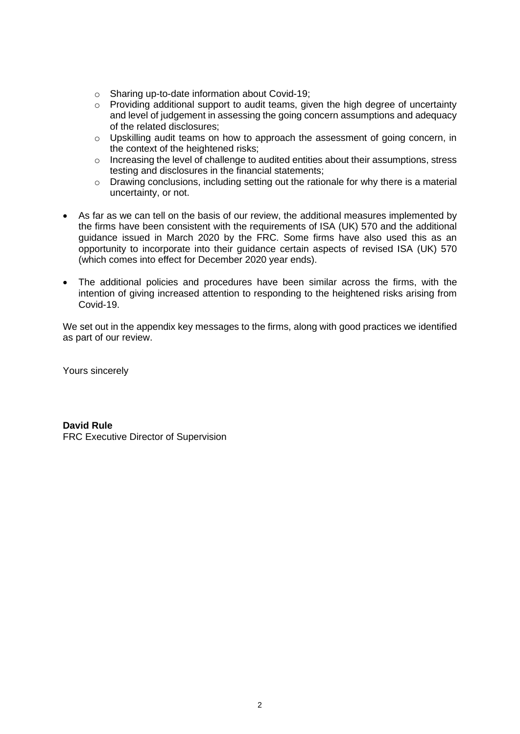- o Sharing up-to-date information about Covid-19;
- o Providing additional support to audit teams, given the high degree of uncertainty and level of judgement in assessing the going concern assumptions and adequacy of the related disclosures;
- o Upskilling audit teams on how to approach the assessment of going concern, in the context of the heightened risks;
- $\circ$  Increasing the level of challenge to audited entities about their assumptions, stress testing and disclosures in the financial statements;
- $\circ$  Drawing conclusions, including setting out the rationale for why there is a material uncertainty, or not.
- As far as we can tell on the basis of our review, the additional measures implemented by the firms have been consistent with the requirements of ISA (UK) 570 and the additional guidance issued in March 2020 by the FRC. Some firms have also used this as an opportunity to incorporate into their guidance certain aspects of revised ISA (UK) 570 (which comes into effect for December 2020 year ends).
- The additional policies and procedures have been similar across the firms, with the intention of giving increased attention to responding to the heightened risks arising from Covid-19.

We set out in the appendix key messages to the firms, along with good practices we identified as part of our review.

Yours sincerely

**David Rule** FRC Executive Director of Supervision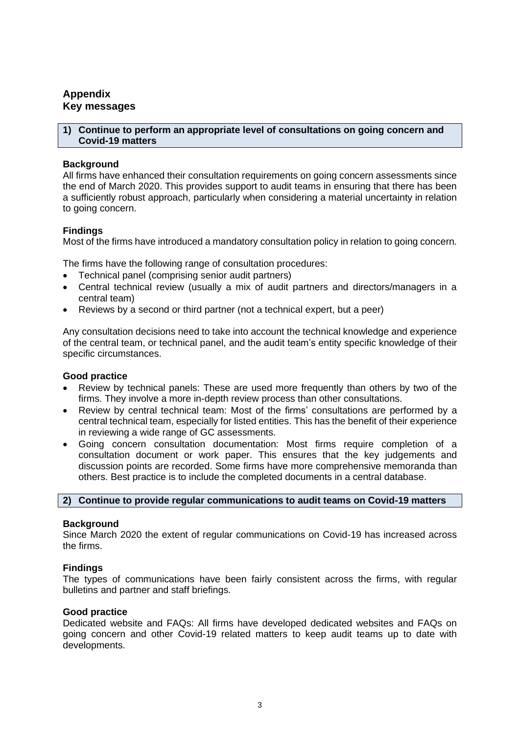# **Appendix Key messages**

### **1) Continue to perform an appropriate level of consultations on going concern and Covid-19 matters**

## **Background**

All firms have enhanced their consultation requirements on going concern assessments since the end of March 2020. This provides support to audit teams in ensuring that there has been a sufficiently robust approach, particularly when considering a material uncertainty in relation to going concern.

## **Findings**

Most of the firms have introduced a mandatory consultation policy in relation to going concern.

The firms have the following range of consultation procedures:

- Technical panel (comprising senior audit partners)
- Central technical review (usually a mix of audit partners and directors/managers in a central team)
- Reviews by a second or third partner (not a technical expert, but a peer)

Any consultation decisions need to take into account the technical knowledge and experience of the central team, or technical panel, and the audit team's entity specific knowledge of their specific circumstances.

## **Good practice**

- Review by technical panels: These are used more frequently than others by two of the firms. They involve a more in-depth review process than other consultations.
- Review by central technical team: Most of the firms' consultations are performed by a central technical team, especially for listed entities. This has the benefit of their experience in reviewing a wide range of GC assessments.
- Going concern consultation documentation: Most firms require completion of a consultation document or work paper. This ensures that the key judgements and discussion points are recorded. Some firms have more comprehensive memoranda than others. Best practice is to include the completed documents in a central database.

## **2) Continue to provide regular communications to audit teams on Covid-19 matters**

## **Background**

Since March 2020 the extent of regular communications on Covid-19 has increased across the firms.

## **Findings**

The types of communications have been fairly consistent across the firms, with regular bulletins and partner and staff briefings.

### **Good practice**

Dedicated website and FAQs: All firms have developed dedicated websites and FAQs on going concern and other Covid-19 related matters to keep audit teams up to date with developments.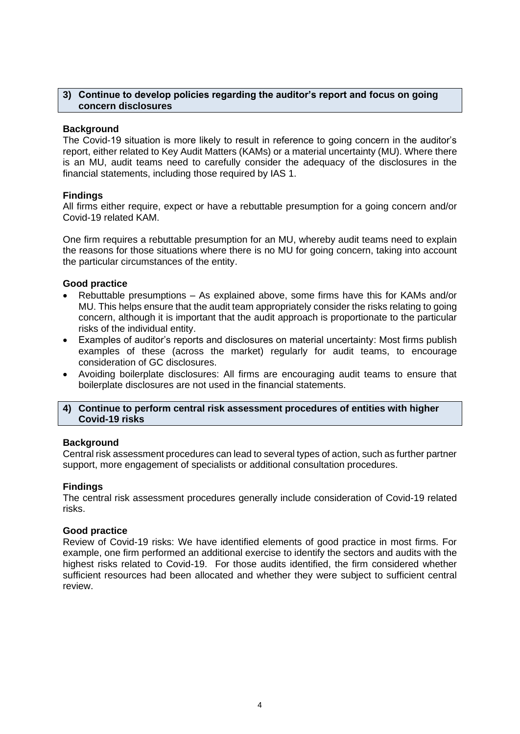### **3) Continue to develop policies regarding the auditor's report and focus on going concern disclosures**

### **Background**

The Covid-19 situation is more likely to result in reference to going concern in the auditor's report, either related to Key Audit Matters (KAMs) or a material uncertainty (MU). Where there is an MU, audit teams need to carefully consider the adequacy of the disclosures in the financial statements, including those required by IAS 1.

### **Findings**

All firms either require, expect or have a rebuttable presumption for a going concern and/or Covid-19 related KAM.

One firm requires a rebuttable presumption for an MU, whereby audit teams need to explain the reasons for those situations where there is no MU for going concern, taking into account the particular circumstances of the entity.

### **Good practice**

- Rebuttable presumptions As explained above, some firms have this for KAMs and/or MU. This helps ensure that the audit team appropriately consider the risks relating to going concern, although it is important that the audit approach is proportionate to the particular risks of the individual entity.
- Examples of auditor's reports and disclosures on material uncertainty: Most firms publish examples of these (across the market) regularly for audit teams, to encourage consideration of GC disclosures.
- Avoiding boilerplate disclosures: All firms are encouraging audit teams to ensure that boilerplate disclosures are not used in the financial statements.

### **4) Continue to perform central risk assessment procedures of entities with higher Covid-19 risks**

### **Background**

Central risk assessment procedures can lead to several types of action, such as further partner support, more engagement of specialists or additional consultation procedures.

### **Findings**

The central risk assessment procedures generally include consideration of Covid-19 related risks.

### **Good practice**

Review of Covid-19 risks: We have identified elements of good practice in most firms. For example, one firm performed an additional exercise to identify the sectors and audits with the highest risks related to Covid-19. For those audits identified, the firm considered whether sufficient resources had been allocated and whether they were subject to sufficient central review.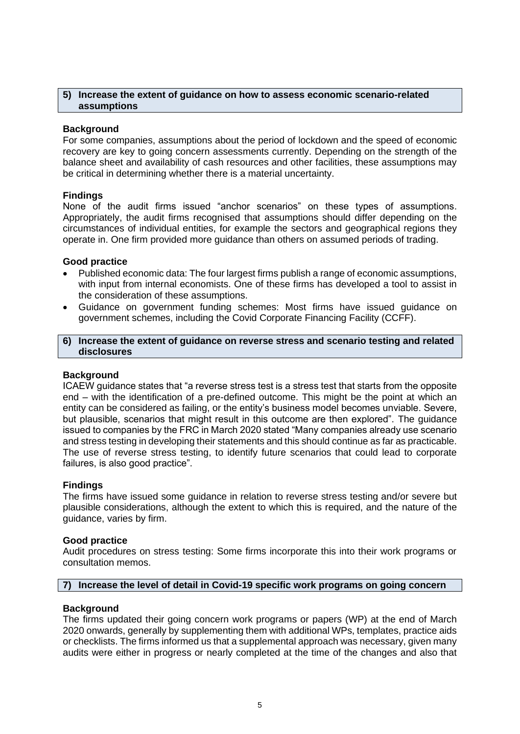### **5) Increase the extent of guidance on how to assess economic scenario-related assumptions**

### **Background**

For some companies, assumptions about the period of lockdown and the speed of economic recovery are key to going concern assessments currently. Depending on the strength of the balance sheet and availability of cash resources and other facilities, these assumptions may be critical in determining whether there is a material uncertainty.

### **Findings**

None of the audit firms issued "anchor scenarios" on these types of assumptions. Appropriately, the audit firms recognised that assumptions should differ depending on the circumstances of individual entities, for example the sectors and geographical regions they operate in. One firm provided more guidance than others on assumed periods of trading.

### **Good practice**

- Published economic data: The four largest firms publish a range of economic assumptions, with input from internal economists. One of these firms has developed a tool to assist in the consideration of these assumptions.
- Guidance on government funding schemes: Most firms have issued guidance on government schemes, including the Covid Corporate Financing Facility (CCFF).

### **6) Increase the extent of guidance on reverse stress and scenario testing and related disclosures**

## **Background**

ICAEW guidance states that "a reverse stress test is a stress test that starts from the opposite end – with the identification of a pre-defined outcome. This might be the point at which an entity can be considered as failing, or the entity's business model becomes unviable. Severe, but plausible, scenarios that might result in this outcome are then explored". The guidance issued to companies by the FRC in March 2020 stated "Many companies already use scenario and stress testing in developing their statements and this should continue as far as practicable. The use of reverse stress testing, to identify future scenarios that could lead to corporate failures, is also good practice".

### **Findings**

The firms have issued some guidance in relation to reverse stress testing and/or severe but plausible considerations, although the extent to which this is required, and the nature of the guidance, varies by firm.

### **Good practice**

Audit procedures on stress testing: Some firms incorporate this into their work programs or consultation memos.

## **7) Increase the level of detail in Covid-19 specific work programs on going concern**

### **Background**

The firms updated their going concern work programs or papers (WP) at the end of March 2020 onwards, generally by supplementing them with additional WPs, templates, practice aids or checklists. The firms informed us that a supplemental approach was necessary, given many audits were either in progress or nearly completed at the time of the changes and also that